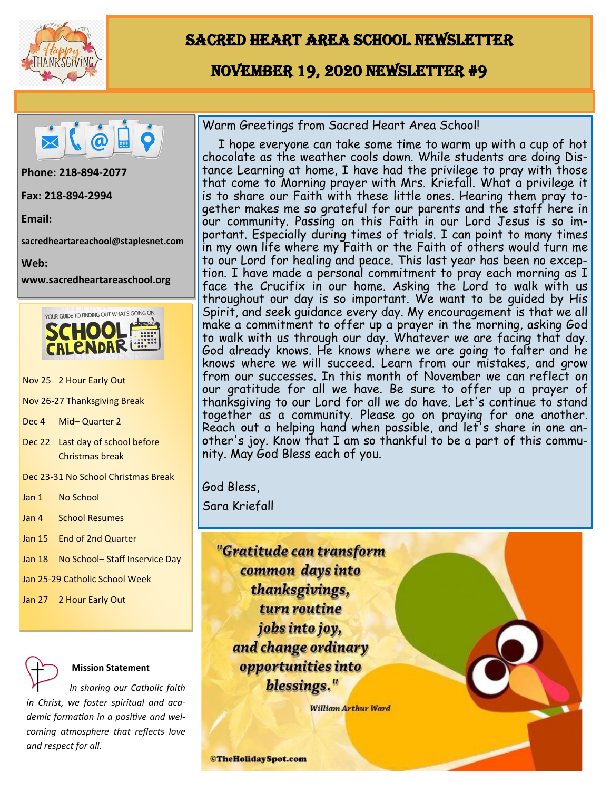

# Sacred Heart Area School Newsletter

## November 19, 2020 Newsletter #9



**Phone: 218-894-2077** 

**Fax: 218-894-2994**

**Email:** 

**sacredheartareachool@staplesnet.com**

**Web:** 

**www.sacredheartareaschool.org**



- Nov 25 2 Hour Early Out
- Nov 26-27 Thanksgiving Break
- Dec 4 Mid– Quarter 2
- Dec 22 Last day of school before Christmas break
- Dec 23-31 No School Christmas Break

Jan 1 No School

Jan 4 School Resumes

Jan 15 End of 2nd Quarter

Jan 18 No School- Staff Inservice Day

Jan 25-29 Catholic School Week

Jan 27 2 Hour Early Out

#### **Mission Statement**

 *In sharing our Catholic faith in Christ, we foster spiritual and academic formation in a positive and welcoming atmosphere that reflects love and respect for all.*

Warm Greetings from Sacred Heart Area School!

 I hope everyone can take some time to warm up with a cup of hot chocolate as the weather cools down. While students are doing Distance Learning at home, I have had the privilege to pray with those that come to Morning prayer with Mrs. Kriefall. What a privilege it is to share our Faith with these little ones. Hearing them pray together makes me so grateful for our parents and the staff here in our community. Passing on this Faith in our Lord Jesus is so important. Especially during times of trials. I can point to many times in my own life where my Faith or the Faith of others would turn me to our Lord for healing and peace. This last year has been no exception. I have made a personal commitment to pray each morning as I face the Crucifix in our home. Asking the Lord to walk with us throughout our day is so important. We want to be guided by His Spirit, and seek guidance every day. My encouragement is that we all make a commitment to offer up a prayer in the morning, asking God to walk with us through our day. Whatever we are facing that day. God already knows. He knows where we are going to falter and he knows where we will succeed. Learn from our mistakes, and grow from our successes. In this month of November we can reflect on our gratitude for all we have. Be sure to offer up a prayer of thanksgiving to our Lord for all we do have. Let's continue to stand together as a community. Please go on praying for one another. Reach out a helping hand when possible, and let's share in one another's joy. Know that I am so thankful to be a part of this community. May God Bless each of you.

God Bless,

Sara Kriefall



**William Arthur Ward** 

**©TheHolidaySpot.com**